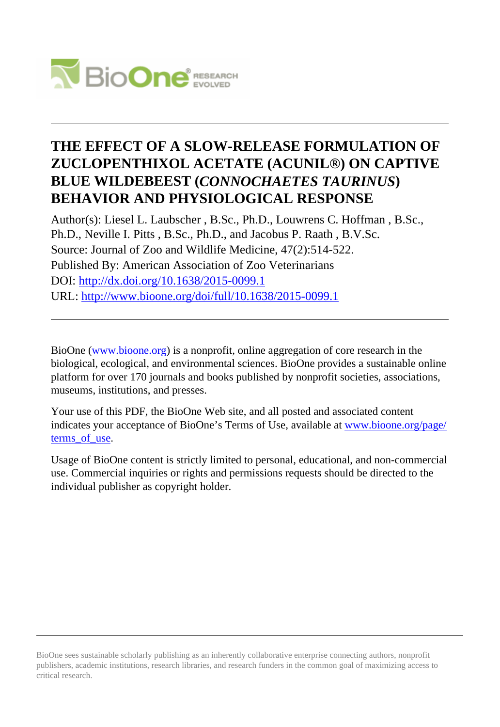

# **THE EFFECT OF A SLOW-RELEASE FORMULATION OF ZUCLOPENTHIXOL ACETATE (ACUNIL®) ON CAPTIVE BLUE WILDEBEEST (***CONNOCHAETES TAURINUS***) BEHAVIOR AND PHYSIOLOGICAL RESPONSE**

Author(s): Liesel L. Laubscher , B.Sc., Ph.D., Louwrens C. Hoffman , B.Sc., Ph.D., Neville I. Pitts , B.Sc., Ph.D., and Jacobus P. Raath , B.V.Sc. Source: Journal of Zoo and Wildlife Medicine, 47(2):514-522. Published By: American Association of Zoo Veterinarians DOI:<http://dx.doi.org/10.1638/2015-0099.1> URL: <http://www.bioone.org/doi/full/10.1638/2015-0099.1>

BioOne [\(www.bioone.org\)](http://www.bioone.org) is a nonprofit, online aggregation of core research in the biological, ecological, and environmental sciences. BioOne provides a sustainable online platform for over 170 journals and books published by nonprofit societies, associations, museums, institutions, and presses.

Your use of this PDF, the BioOne Web site, and all posted and associated content indicates your acceptance of BioOne's Terms of Use, available at [www.bioone.org/page/](http://www.bioone.org/page/terms_of_use) [terms\\_of\\_use.](http://www.bioone.org/page/terms_of_use)

Usage of BioOne content is strictly limited to personal, educational, and non-commercial use. Commercial inquiries or rights and permissions requests should be directed to the individual publisher as copyright holder.

BioOne sees sustainable scholarly publishing as an inherently collaborative enterprise connecting authors, nonprofit publishers, academic institutions, research libraries, and research funders in the common goal of maximizing access to critical research.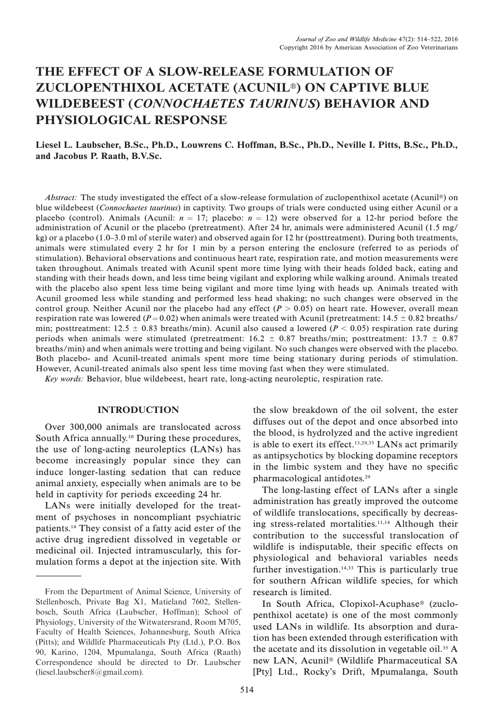# THE EFFECT OF A SLOW-RELEASE FORMULATION OF ZUCLOPENTHIXOL ACETATE (ACUNIL<sup>®</sup>) ON CAPTIVE BLUE WILDEBEEST (CONNOCHAETES TAURINUS) BEHAVIOR AND PHYSIOLOGICAL RESPONSE

# Liesel L. Laubscher, B.Sc., Ph.D., Louwrens C. Hoffman, B.Sc., Ph.D., Neville I. Pitts, B.Sc., Ph.D., and Jacobus P. Raath, B.V.Sc.

Abstract: The study investigated the effect of a slow-release formulation of zuclopenthixol acetate (Acunil<sup>®</sup>) on blue wildebeest (Connochaetes taurinus) in captivity. Two groups of trials were conducted using either Acunil or a placebo (control). Animals (Acunil:  $n = 17$ ; placebo:  $n = 12$ ) were observed for a 12-hr period before the administration of Acunil or the placebo (pretreatment). After 24 hr, animals were administered Acunil (1.5 mg/ kg) or a placebo (1.0–3.0 ml of sterile water) and observed again for 12 hr (posttreatment). During both treatments, animals were stimulated every 2 hr for 1 min by a person entering the enclosure (referred to as periods of stimulation). Behavioral observations and continuous heart rate, respiration rate, and motion measurements were taken throughout. Animals treated with Acunil spent more time lying with their heads folded back, eating and standing with their heads down, and less time being vigilant and exploring while walking around. Animals treated with the placebo also spent less time being vigilant and more time lying with heads up. Animals treated with Acunil groomed less while standing and performed less head shaking; no such changes were observed in the control group. Neither Acunil nor the placebo had any effect  $(P > 0.05)$  on heart rate. However, overall mean respiration rate was lowered ( $P = 0.02$ ) when animals were treated with Acunil (pretreatment: 14.5  $\pm$  0.82 breaths/ min; posttreatment: 12.5  $\pm$  0.83 breaths/min). Acunil also caused a lowered (P < 0.05) respiration rate during periods when animals were stimulated (pretreatment:  $16.2 \pm 0.87$  breaths/min; posttreatment:  $13.7 \pm 0.87$ breaths/min) and when animals were trotting and being vigilant. No such changes were observed with the placebo. Both placebo- and Acunil-treated animals spent more time being stationary during periods of stimulation. However, Acunil-treated animals also spent less time moving fast when they were stimulated.

Key words: Behavior, blue wildebeest, heart rate, long-acting neuroleptic, respiration rate.

# INTRODUCTION

Over 300,000 animals are translocated across South Africa annually.<sup>10</sup> During these procedures, the use of long-acting neuroleptics (LANs) has become increasingly popular since they can induce longer-lasting sedation that can reduce animal anxiety, especially when animals are to be held in captivity for periods exceeding 24 hr.

LANs were initially developed for the treatment of psychoses in noncompliant psychiatric patients.14 They consist of a fatty acid ester of the active drug ingredient dissolved in vegetable or medicinal oil. Injected intramuscularly, this formulation forms a depot at the injection site. With

the slow breakdown of the oil solvent, the ester diffuses out of the depot and once absorbed into the blood, is hydrolyzed and the active ingredient is able to exert its effect.13,29,33 LANs act primarily as antipsychotics by blocking dopamine receptors in the limbic system and they have no specific pharmacological antidotes.29

The long-lasting effect of LANs after a single administration has greatly improved the outcome of wildlife translocations, specifically by decreasing stress-related mortalities.11,14 Although their contribution to the successful translocation of wildlife is indisputable, their specific effects on physiological and behavioral variables needs further investigation.<sup>14,33</sup> This is particularly true for southern African wildlife species, for which research is limited.

In South Africa, Clopixol-Acuphase<sup>®</sup> (zuclopenthixol acetate) is one of the most commonly used LANs in wildlife. Its absorption and duration has been extended through esterification with the acetate and its dissolution in vegetable oil.<sup>35</sup> A new LAN, Acunil<sup>®</sup> (Wildlife Pharmaceutical SA [Pty] Ltd., Rocky's Drift, Mpumalanga, South

From the Department of Animal Science, University of Stellenbosch, Private Bag X1, Matieland 7602, Stellenbosch, South Africa (Laubscher, Hoffman); School of Physiology, University of the Witwatersrand, Room M705, Faculty of Health Sciences, Johannesburg, South Africa (Pitts); and Wildlife Pharmaceuticals Pty (Ltd.), P.O. Box 90, Karino, 1204, Mpumalanga, South Africa (Raath) Correspondence should be directed to Dr. Laubscher (liesel.laubscher8@gmail.com).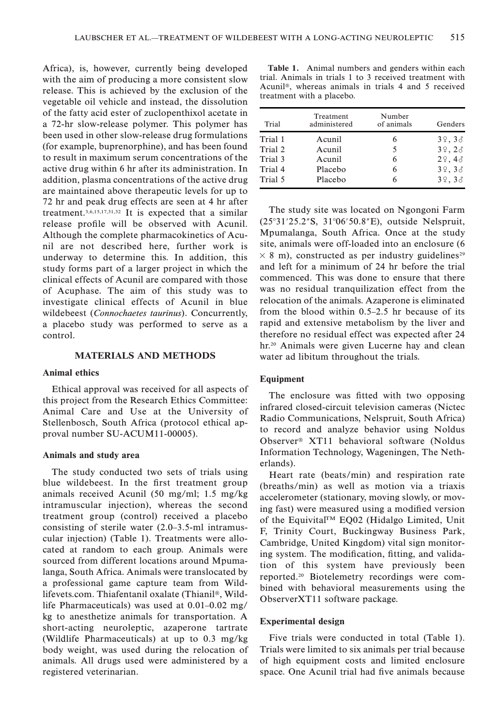Africa), is, however, currently being developed with the aim of producing a more consistent slow release. This is achieved by the exclusion of the vegetable oil vehicle and instead, the dissolution of the fatty acid ester of zuclopenthixol acetate in a 72-hr slow-release polymer. This polymer has been used in other slow-release drug formulations (for example, buprenorphine), and has been found to result in maximum serum concentrations of the active drug within 6 hr after its administration. In addition, plasma concentrations of the active drug are maintained above therapeutic levels for up to 72 hr and peak drug effects are seen at 4 hr after treatment.3,6,15,17,31,32 It is expected that a similar release profile will be observed with Acunil. Although the complete pharmacokinetics of Acunil are not described here, further work is underway to determine this. In addition, this study forms part of a larger project in which the clinical effects of Acunil are compared with those of Acuphase. The aim of this study was to investigate clinical effects of Acunil in blue wildebeest (Connochaetes taurinus). Concurrently, a placebo study was performed to serve as a control.

# MATERIALS AND METHODS

#### Animal ethics

Ethical approval was received for all aspects of this project from the Research Ethics Committee: Animal Care and Use at the University of Stellenbosch, South Africa (protocol ethical approval number SU-ACUM11-00005).

#### Animals and study area

The study conducted two sets of trials using blue wildebeest. In the first treatment group animals received Acunil (50 mg/ml; 1.5 mg/kg intramuscular injection), whereas the second treatment group (control) received a placebo consisting of sterile water (2.0–3.5-ml intramuscular injection) (Table 1). Treatments were allocated at random to each group. Animals were sourced from different locations around Mpumalanga, South Africa. Animals were translocated by a professional game capture team from Wildlifevets.com. Thiafentanil oxalate (Thianil®, Wildlife Pharmaceuticals) was used at 0.01–0.02 mg/ kg to anesthetize animals for transportation. A short-acting neuroleptic, azaperone tartrate (Wildlife Pharmaceuticals) at up to 0.3 mg/kg body weight, was used during the relocation of animals. All drugs used were administered by a registered veterinarian.

Table 1. Animal numbers and genders within each trial. Animals in trials 1 to 3 received treatment with Acunil<sup>®</sup>, whereas animals in trials 4 and 5 received treatment with a placebo.

| Trial   | Treatment<br>administered | Number<br>of animals | Genders         |
|---------|---------------------------|----------------------|-----------------|
| Trial 1 | Acunil                    |                      | 39,33           |
| Trial 2 | Acunil                    | 5                    | 39, 28          |
| Trial 3 | Acunil                    |                      | $2\degree$ , 43 |
| Trial 4 | Placebo                   | 6                    | 39,33           |
| Trial 5 | Placebo                   |                      | 39,33           |

The study site was located on Ngongoni Farm (25°31'25.2"S, 31°06'50.8"E), outside Nelspruit, Mpumalanga, South Africa. Once at the study site, animals were off-loaded into an enclosure (6  $\times$  8 m), constructed as per industry guidelines<sup>29</sup> and left for a minimum of 24 hr before the trial commenced. This was done to ensure that there was no residual tranquilization effect from the relocation of the animals. Azaperone is eliminated from the blood within 0.5–2.5 hr because of its rapid and extensive metabolism by the liver and therefore no residual effect was expected after 24 hr.<sup>20</sup> Animals were given Lucerne hay and clean water ad libitum throughout the trials.

#### **Equipment**

The enclosure was fitted with two opposing infrared closed-circuit television cameras (Nictec Radio Communications, Nelspruit, South Africa) to record and analyze behavior using Noldus Observer<sup>®</sup> XT11 behavioral software (Noldus Information Technology, Wageningen, The Netherlands).

Heart rate (beats/min) and respiration rate (breaths/min) as well as motion via a triaxis accelerometer (stationary, moving slowly, or moving fast) were measured using a modified version of the Equivital™ EQ02 (Hidalgo Limited, Unit F, Trinity Court, Buckingway Business Park, Cambridge, United Kingdom) vital sign monitoring system. The modification, fitting, and validation of this system have previously been reported.20 Biotelemetry recordings were combined with behavioral measurements using the ObserverXT11 software package.

#### Experimental design

Five trials were conducted in total (Table 1). Trials were limited to six animals per trial because of high equipment costs and limited enclosure space. One Acunil trial had five animals because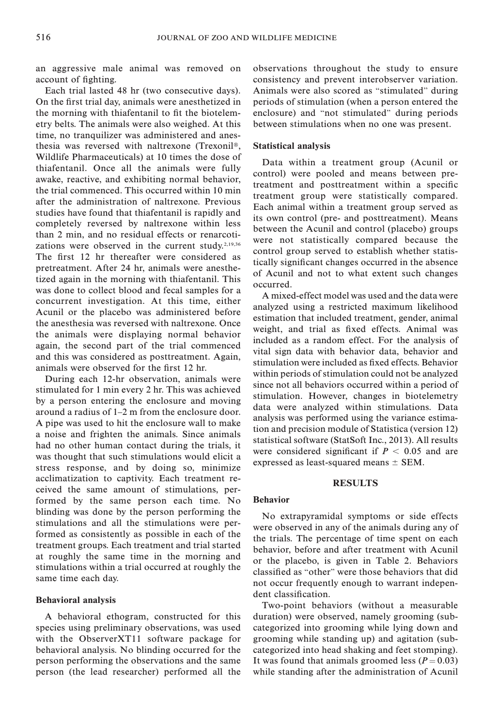an aggressive male animal was removed on account of fighting.

Each trial lasted 48 hr (two consecutive days). On the first trial day, animals were anesthetized in the morning with thiafentanil to fit the biotelemetry belts. The animals were also weighed. At this time, no tranquilizer was administered and anesthesia was reversed with naltrexone (Trexonil®, Wildlife Pharmaceuticals) at 10 times the dose of thiafentanil. Once all the animals were fully awake, reactive, and exhibiting normal behavior, the trial commenced. This occurred within 10 min after the administration of naltrexone. Previous studies have found that thiafentanil is rapidly and completely reversed by naltrexone within less than 2 min, and no residual effects or renarcotizations were observed in the current study.<sup>2,19,36</sup> The first 12 hr thereafter were considered as pretreatment. After 24 hr, animals were anesthetized again in the morning with thiafentanil. This was done to collect blood and fecal samples for a concurrent investigation. At this time, either Acunil or the placebo was administered before the anesthesia was reversed with naltrexone. Once the animals were displaying normal behavior again, the second part of the trial commenced and this was considered as posttreatment. Again, animals were observed for the first 12 hr.

During each 12-hr observation, animals were stimulated for 1 min every 2 hr. This was achieved by a person entering the enclosure and moving around a radius of 1–2 m from the enclosure door. A pipe was used to hit the enclosure wall to make a noise and frighten the animals. Since animals had no other human contact during the trials, it was thought that such stimulations would elicit a stress response, and by doing so, minimize acclimatization to captivity. Each treatment received the same amount of stimulations, performed by the same person each time. No blinding was done by the person performing the stimulations and all the stimulations were performed as consistently as possible in each of the treatment groups. Each treatment and trial started at roughly the same time in the morning and stimulations within a trial occurred at roughly the same time each day.

#### Behavioral analysis

A behavioral ethogram, constructed for this species using preliminary observations, was used with the ObserverXT11 software package for behavioral analysis. No blinding occurred for the person performing the observations and the same person (the lead researcher) performed all the

observations throughout the study to ensure consistency and prevent interobserver variation. Animals were also scored as ''stimulated'' during periods of stimulation (when a person entered the enclosure) and ''not stimulated'' during periods between stimulations when no one was present.

#### Statistical analysis

Data within a treatment group (Acunil or control) were pooled and means between pretreatment and posttreatment within a specific treatment group were statistically compared. Each animal within a treatment group served as its own control (pre- and posttreatment). Means between the Acunil and control (placebo) groups were not statistically compared because the control group served to establish whether statistically significant changes occurred in the absence of Acunil and not to what extent such changes occurred.

A mixed-effect model was used and the data were analyzed using a restricted maximum likelihood estimation that included treatment, gender, animal weight, and trial as fixed effects. Animal was included as a random effect. For the analysis of vital sign data with behavior data, behavior and stimulation were included as fixed effects. Behavior within periods of stimulation could not be analyzed since not all behaviors occurred within a period of stimulation. However, changes in biotelemetry data were analyzed within stimulations. Data analysis was performed using the variance estimation and precision module of Statistica (version 12) statistical software (StatSoft Inc., 2013). All results were considered significant if  $P < 0.05$  and are expressed as least-squared means  $\pm$  SEM.

# **RESULTS**

#### Behavior

No extrapyramidal symptoms or side effects were observed in any of the animals during any of the trials. The percentage of time spent on each behavior, before and after treatment with Acunil or the placebo, is given in Table 2. Behaviors classified as ''other'' were those behaviors that did not occur frequently enough to warrant independent classification.

Two-point behaviors (without a measurable duration) were observed, namely grooming (subcategorized into grooming while lying down and grooming while standing up) and agitation (subcategorized into head shaking and feet stomping). It was found that animals groomed less  $(P = 0.03)$ while standing after the administration of Acunil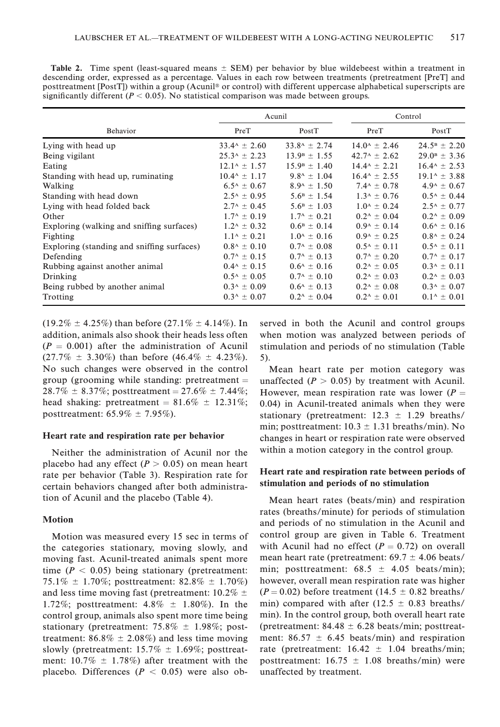|                                            |                                | Acunil                         | Control                    |                            |
|--------------------------------------------|--------------------------------|--------------------------------|----------------------------|----------------------------|
| Behavior                                   | PreT                           | PostT                          | PreT                       | PostT                      |
| Lying with head up                         | $33.4^{\rm A} \pm 2.60$        | $33.8^{\rm A} \pm 2.74$        | $14.0^{\rm A} \pm 2.46$    | $24.5^{\rm B} \pm 2.20$    |
| Being vigilant                             | $25.3^{\rm A} \pm 2.23$        | $13.9^{\rm B} \pm 1.55$        | $42.7^{\rm A} \pm 2.62$    | $29.0^{\rm B} \pm 3.36$    |
| Eating                                     | $12.1^{\rm A} \pm 1.57$        | $15.9^{\rm B} \pm 1.40$        | $14.4^{\rm A} \pm 2.21$    | $16.4^{\text{A}} \pm 2.53$ |
| Standing with head up, ruminating          | $10.4^{\rm A} \pm 1.17$        | $9.8^{\rm A} \pm 1.04$         | $16.4^{\text{A}} \pm 2.55$ | $19.1^{\rm A} \pm 3.88$    |
| Walking                                    | $6.5^{\rm A} \pm 0.67$         | $8.9^{\rm A} \pm 1.50^{\rm C}$ | $7.4^{\rm A} \pm 0.78$     | $4.9^{\rm A} \pm 0.67$     |
| Standing with head down                    | $2.5^{\rm A} \pm 0.95$         | $5.6^{\rm B} \pm 1.54$         | $1.3^{\rm A} \pm 0.76$     | $0.5^{\rm A} \pm 0.44$     |
| Lying with head folded back                | $2.7^{\rm A} \pm 0.45$         | $5.6^{\rm B} \pm 1.03$         | $1.0^{\rm A} \pm 0.24$     | $2.5^{\rm A} \pm 0.77$     |
| Other                                      | $1.7^{\rm A} \pm 0.19$         | $1.7^{\rm A} \pm 0.21$         | $0.2^{\rm A} \pm 0.04$     | $0.2^{\rm A} \pm 0.09$     |
| Exploring (walking and sniffing surfaces)  | $1.2^{\rm A} \pm 0.32$         | $0.6^{\rm B} \pm 0.14$         | $0.9^{\rm A} \pm 0.14$     | $0.6^{\rm A} \pm 0.16$     |
| Fighting                                   | $1.1^{\rm A} \pm 0.21$         | $1.0^4 \pm 0.16$               | $0.9^{\rm A} \pm 0.25$     | $0.8^{\rm A} \pm 0.24$     |
| Exploring (standing and snifting surfaces) | $0.8^{\rm A} \pm 0.10^{\rm A}$ | $0.7^{\rm A} \pm 0.08$         | $0.5^{\rm A} + 0.11$       | $0.5^{\rm A} \pm 0.11$     |
| Defending                                  | $0.7^{\rm A} \pm 0.15$         | $0.7^{\rm A} \pm 0.13$         | $0.7^{\rm A} \pm 0.20$     | $0.7^{\rm A} \pm 0.17$     |
| Rubbing against another animal             | $0.4^{\rm A} \pm 0.15$         | $0.6^{\rm A} \pm 0.16$         | $0.2^{\rm A} \pm 0.05$     | $0.3^{\rm A} \pm 0.11$     |
| Drinking                                   | $0.5^{\rm A} \pm 0.05$         | $0.7^{\rm A} \pm 0.10^{\rm A}$ | $0.2^{\rm A} \pm 0.03$     | $0.2^{\rm A} \pm 0.03$     |
| Being rubbed by another animal             | $0.3^{\rm A} \pm 0.09$         | $0.6^{\rm A} \pm 0.13$         | $0.2^{\rm A} \pm 0.08$     | $0.3^{\rm A} \pm 0.07$     |
| Trotting                                   | $0.3^{\rm A} \pm 0.07$         | $0.2^{\rm A} \pm 0.04$         | $0.2^{\rm A} \pm 0.01$     | $0.1^{\rm A} \pm 0.01$     |

Table 2. Time spent (least-squared means  $\pm$  SEM) per behavior by blue wildebeest within a treatment in descending order, expressed as a percentage. Values in each row between treatments (pretreatment [PreT] and posttreatment [PostT]) within a group (Acunil<sup>®</sup> or control) with different uppercase alphabetical superscripts are significantly different ( $P < 0.05$ ). No statistical comparison was made between groups.

 $(19.2\% \pm 4.25\%)$  than before  $(27.1\% \pm 4.14\%)$ . In addition, animals also shook their heads less often  $(P = 0.001)$  after the administration of Acunil  $(27.7\% \pm 3.30\%)$  than before  $(46.4\% \pm 4.23\%).$ No such changes were observed in the control group (grooming while standing: pretreatment  $=$  $28.7\% \pm 8.37\%;$  posttreatment = 27.6%  $\pm 7.44\%;$ head shaking: pretreatment =  $81.6\% \pm 12.31\%;$ posttreatment:  $65.9\% \pm 7.95\%$ ).

#### Heart rate and respiration rate per behavior

Neither the administration of Acunil nor the placebo had any effect ( $P > 0.05$ ) on mean heart rate per behavior (Table 3). Respiration rate for certain behaviors changed after both administration of Acunil and the placebo (Table 4).

#### Motion

Motion was measured every 15 sec in terms of the categories stationary, moving slowly, and moving fast. Acunil-treated animals spent more time ( $P < 0.05$ ) being stationary (pretreatment: 75.1%  $\pm$  1.70%; posttreatment: 82.8%  $\pm$  1.70%) and less time moving fast (pretreatment:  $10.2\% \pm$ 1.72%; posttreatment:  $4.8\% \pm 1.80\%$ ). In the control group, animals also spent more time being stationary (pretreatment:  $75.8\% \pm 1.98\%$ ; posttreatment:  $86.8\% \pm 2.08\%$  and less time moving slowly (pretreatment:  $15.7\% \pm 1.69\%$ ; posttreatment:  $10.7\% \pm 1.78\%$  after treatment with the placebo. Differences  $(P < 0.05)$  were also observed in both the Acunil and control groups when motion was analyzed between periods of stimulation and periods of no stimulation (Table 5).

Mean heart rate per motion category was unaffected  $(P > 0.05)$  by treatment with Acunil. However, mean respiration rate was lower  $(P =$ 0.04) in Acunil-treated animals when they were stationary (pretreatment:  $12.3 \pm 1.29$  breaths/ min; posttreatment:  $10.3 \pm 1.31$  breaths/min). No changes in heart or respiration rate were observed within a motion category in the control group.

# Heart rate and respiration rate between periods of stimulation and periods of no stimulation

Mean heart rates (beats/min) and respiration rates (breaths/minute) for periods of stimulation and periods of no stimulation in the Acunil and control group are given in Table 6. Treatment with Acunil had no effect  $(P = 0.72)$  on overall mean heart rate (pretreatment:  $69.7 \pm 4.06$  beats/ min; posttreatment:  $68.5 \pm 4.05$  beats/min); however, overall mean respiration rate was higher  $(P = 0.02)$  before treatment (14.5  $\pm$  0.82 breaths/ min) compared with after (12.5  $\pm$  0.83 breaths/ min). In the control group, both overall heart rate (pretreatment:  $84.48 \pm 6.28$  beats/min; posttreatment:  $86.57 \pm 6.45$  beats/min) and respiration rate (pretreatment:  $16.42 \pm 1.04$  breaths/min; posttreatment:  $16.75 \pm 1.08$  breaths/min) were unaffected by treatment.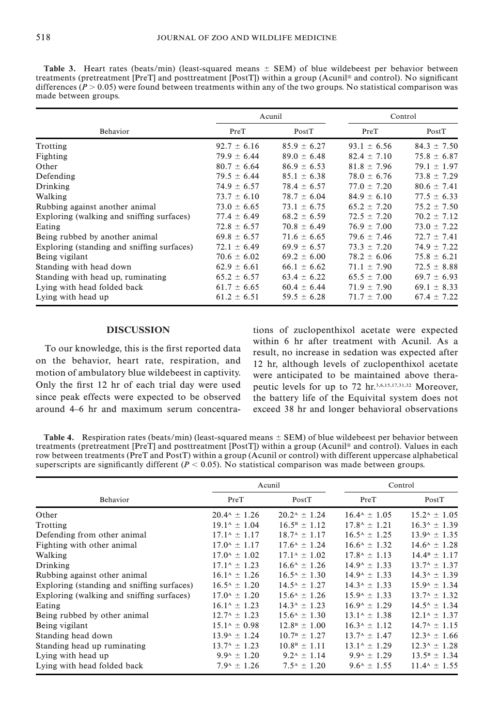Table 3. Heart rates (beats/min) (least-squared means  $\pm$  SEM) of blue wildebeest per behavior between treatments (pretreatment [PreT] and posttreatment [PostT]) within a group (Acunil<sup>®</sup> and control). No significant differences ( $P > 0.05$ ) were found between treatments within any of the two groups. No statistical comparison was made between groups.

|                                            |                 | Acunil          | Control         |                 |
|--------------------------------------------|-----------------|-----------------|-----------------|-----------------|
| <b>Behavior</b>                            | PreT            | PostT           | PreT            | PostT           |
| Trotting                                   | $92.7 \pm 6.16$ | $85.9 \pm 6.27$ | $93.1 \pm 6.56$ | $84.3 \pm 7.50$ |
| Fighting                                   | $79.9 \pm 6.44$ | $89.0 \pm 6.48$ | $82.4 \pm 7.10$ | $75.8 \pm 6.87$ |
| Other                                      | $80.7 \pm 6.64$ | $86.9 \pm 6.53$ | $81.8 \pm 7.96$ | $79.1 \pm 1.97$ |
| Defending                                  | $79.5 \pm 6.44$ | $85.1 \pm 6.38$ | $78.0 \pm 6.76$ | $73.8 \pm 7.29$ |
| Drinking                                   | $74.9 \pm 6.57$ | $78.4 \pm 6.57$ | $77.0 \pm 7.20$ | $80.6 \pm 7.41$ |
| Walking                                    | $73.7 \pm 6.10$ | $78.7 \pm 6.04$ | $84.9 \pm 6.10$ | $77.5 \pm 6.33$ |
| Rubbing against another animal             | $73.0 \pm 6.65$ | $73.1 \pm 6.75$ | $65.2 \pm 7.20$ | $75.2 \pm 7.50$ |
| Exploring (walking and sniffing surfaces)  | $77.4 \pm 6.49$ | $68.2 \pm 6.59$ | $72.5 \pm 7.20$ | $70.2 \pm 7.12$ |
| Eating                                     | $72.8 \pm 6.57$ | $70.8 \pm 6.49$ | $76.9 \pm 7.00$ | $73.0 \pm 7.22$ |
| Being rubbed by another animal             | $69.8 \pm 6.57$ | $71.6 \pm 6.65$ | $79.6 \pm 7.46$ | $72.7 \pm 7.41$ |
| Exploring (standing and snifting surfaces) | $72.1 \pm 6.49$ | $69.9 \pm 6.57$ | $73.3 \pm 7.20$ | $74.9 \pm 7.22$ |
| Being vigilant                             | $70.6 \pm 6.02$ | $69.2 \pm 6.00$ | $78.2 \pm 6.06$ | $75.8 \pm 6.21$ |
| Standing with head down                    | $62.9 \pm 6.61$ | $66.1 \pm 6.62$ | $71.1 \pm 7.90$ | $72.5 \pm 8.88$ |
| Standing with head up, ruminating          | $65.2 \pm 6.57$ | $63.4 \pm 6.22$ | $65.5 \pm 7.00$ | $69.7 \pm 6.93$ |
| Lying with head folded back                | $61.7 \pm 6.65$ | $60.4 \pm 6.44$ | $71.9 \pm 7.90$ | $69.1 \pm 8.33$ |
| Lying with head up                         | $61.2 \pm 6.51$ | $59.5 \pm 6.28$ | $71.7 \pm 7.00$ | $67.4 \pm 7.22$ |

# **DISCUSSION**

To our knowledge, this is the first reported data on the behavior, heart rate, respiration, and motion of ambulatory blue wildebeest in captivity. Only the first 12 hr of each trial day were used since peak effects were expected to be observed around 4–6 hr and maximum serum concentrations of zuclopenthixol acetate were expected within 6 hr after treatment with Acunil. As a result, no increase in sedation was expected after 12 hr, although levels of zuclopenthixol acetate were anticipated to be maintained above therapeutic levels for up to 72 hr.3,6,15,17,31,32 Moreover, the battery life of the Equivital system does not exceed 38 hr and longer behavioral observations

Table 4. Respiration rates (beats/min) (least-squared means  $\pm$  SEM) of blue wildebeest per behavior between treatments (pretreatment [PreT] and posttreatment [PostT]) within a group (Acunil® and control). Values in each row between treatments (PreT and PostT) within a group (Acunil or control) with different uppercase alphabetical superscripts are significantly different ( $P < 0.05$ ). No statistical comparison was made between groups.

|                                            | Acunil                     |                                 | Control                    |                            |
|--------------------------------------------|----------------------------|---------------------------------|----------------------------|----------------------------|
| Behavior                                   | PreT                       | PostT                           | PreT                       | PostT                      |
| Other                                      | $20.4^{\rm A} \pm 1.26$    | $20.2^{\rm A} \pm 1.24$         | $16.4^{\text{A}} \pm 1.05$ | $15.2^{\text{A}} \pm 1.05$ |
| Trotting                                   | $19.1^{\rm A} \pm 1.04$    | $16.5^{\rm B} \pm 1.12$         | $17.8^{\rm A} \pm 1.21$    | $16.3^{\rm A} \pm 1.39$    |
| Defending from other animal                | $17.1^{\rm A} \pm 1.17$    | $18.7^{\rm A} \pm 1.17$         | $16.5^{\text{A}} \pm 1.25$ | $13.9^{\rm A} \pm 1.35$    |
| Fighting with other animal                 | $17.0^{\rm A} \pm 1.17$    | $17.6^{\rm A} \pm 1.24$         | $16.6^{\text{A}} \pm 1.32$ | $14.6^{\rm A} \pm 1.28$    |
| Walking                                    | $17.0^{\text{A}} \pm 1.02$ | $17.1^{\rm A} \pm 1.02$         | $17.8^{\rm A} \pm 1.13$    | $14.4^{\rm B} \pm 1.17$    |
| Drinking                                   | $17.1^{\rm A} \pm 1.23$    | $16.6^{\text{A}} \pm 1.26$      | $14.9^{\rm A} \pm 1.33$    | $13.7^{\rm A} \pm 1.37$    |
| Rubbing against other animal               | $16.1^{\rm A} \pm 1.26$    | $16.5^{\rm A} \pm 1.30^{\rm C}$ | $14.9^{\rm A} \pm 1.33$    | $14.3^{\rm A} \pm 1.39$    |
| Exploring (standing and sniffing surfaces) | $16.5^{\rm A} \pm 1.20$    | $14.5^{\rm A} \pm 1.27$         | $14.3^{\rm A} \pm 1.33$    | $15.9^{\rm A} \pm 1.34$    |
| Exploring (walking and sniffing surfaces)  | $17.0^{\rm A} \pm 1.20$    | $15.6^{\rm A} \pm 1.26$         | $15.9^{\rm A} \pm 1.33$    | $13.7^{\rm A} \pm 1.32$    |
| Eating                                     | $16.1^{\rm A} \pm 1.23$    | $14.3^{\rm A} \pm 1.23$         | $16.9^{\rm A} \pm 1.29$    | $14.5^{\rm A} \pm 1.34$    |
| Being rubbed by other animal               | $12.7^{\rm A} \pm 1.23$    | $15.6^{\rm A} \pm 1.30^{\rm A}$ | $13.1^{\rm A} \pm 1.38$    | $12.1^{\rm A} \pm 1.37$    |
| Being vigilant                             | $15.1^{\rm A} \pm 0.98$    | $12.8^{\rm B} \pm 1.00$         | $16.3^{\text{A}} \pm 1.12$ | $14.7^{\rm A} \pm 1.15$    |
| Standing head down                         | $13.9^{\rm A} \pm 1.24$    | $10.7^{\rm B} \pm 1.27$         | $13.7^{\rm A} \pm 1.47$    | $12.3^{\rm A} \pm 1.66$    |
| Standing head up ruminating                | $13.7^{\rm A} \pm 1.23$    | $10.8^{\rm B} \pm 1.11$         | $13.1^{\rm A} \pm 1.29$    | $12.3^{\rm A} \pm 1.28$    |
| Lying with head up                         | $9.9^{\rm A} \pm 1.20$     | $9.2^{\rm A} \pm 1.14$          | $9.9^{\rm A} \pm 1.29$     | $13.5^{\rm B} \pm 1.34$    |
| Lying with head folded back                | $7.9^{\rm A} \pm 1.26$     | $7.5^{\rm A} \pm 1.20^{\rm C}$  | $9.6^{\rm A} \pm 1.55$     | $11.4^{\text{A}} \pm 1.55$ |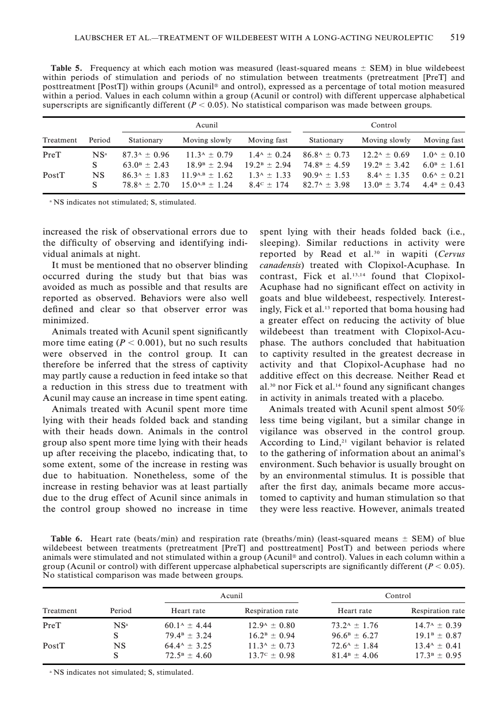Table 5. Frequency at which each motion was measured (least-squared means  $\pm$  SEM) in blue wildebeest within periods of stimulation and periods of no stimulation between treatments (pretreatment [PreT] and posttreatment [PostT]) within groups (Acunil® and ontrol), expressed as a percentage of total motion measured within a period. Values in each column within a group (Acunil or control) with different uppercase alphabetical superscripts are significantly different ( $P < 0.05$ ). No statistical comparison was made between groups.

|           |                 | Acunil                   |                         |                       | Control                    |                          |                                |
|-----------|-----------------|--------------------------|-------------------------|-----------------------|----------------------------|--------------------------|--------------------------------|
| Treatment | Period          | Stationary               | Moving slowly           | Moving fast           | Stationary                 | Moving slowly            | Moving fast                    |
| PreT      | NS <sup>a</sup> | $87.3^{\rm A}$ + 0.96    | $11.3^{\rm A} \pm 0.79$ | $1.4^{\rm A}$ + 0.24  | $86.8^{\text{A}} \pm 0.73$ | $12.2^{\text{A}}$ + 0.69 | $1.0^{\rm A} \pm 0.10^{\rm A}$ |
|           |                 | $63.0^{\rm B}$ + 2.43    | $18.9^{\rm B} + 2.94$   | $19.2^{\rm B} + 2.94$ | $74.8^{\rm B}$ + 4.59      | $19.2^{\rm B} + 3.42$    | $6.0^{\rm B}$ + 1.61           |
| PostT     | NS.             | $86.3^{\text{A}}$ + 1.83 | $11.9A,B \pm 1.62$      | $1.3A + 1.33$         | $90.9^{\text{A}} + 1.53$   | $8.4^{\rm A} \pm 1.35$   | $0.6^{\rm A}$ + 0.21           |
|           | S               | $78.8^{\rm A}$ + 2.70    | $15.0^{A,B} + 1.24$     | $8.4^{\circ}$ + 174   | $82.7^{\rm A}$ + 3.98      | $13.0^{\rm B} + 3.74$    | $4.4^{\rm B}$ + 0.43           |

<sup>a</sup> NS indicates not stimulated; S, stimulated.

increased the risk of observational errors due to the difficulty of observing and identifying individual animals at night.

It must be mentioned that no observer blinding occurred during the study but that bias was avoided as much as possible and that results are reported as observed. Behaviors were also well defined and clear so that observer error was minimized.

Animals treated with Acunil spent significantly more time eating ( $P < 0.001$ ), but no such results were observed in the control group. It can therefore be inferred that the stress of captivity may partly cause a reduction in feed intake so that a reduction in this stress due to treatment with Acunil may cause an increase in time spent eating.

Animals treated with Acunil spent more time lying with their heads folded back and standing with their heads down. Animals in the control group also spent more time lying with their heads up after receiving the placebo, indicating that, to some extent, some of the increase in resting was due to habituation. Nonetheless, some of the increase in resting behavior was at least partially due to the drug effect of Acunil since animals in the control group showed no increase in time spent lying with their heads folded back (i.e., sleeping). Similar reductions in activity were reported by Read et al.<sup>30</sup> in wapiti (Cervus canadensis) treated with Clopixol-Acuphase. In contrast, Fick et al.13,14 found that Clopixol-Acuphase had no significant effect on activity in goats and blue wildebeest, respectively. Interestingly, Fick et al.13 reported that boma housing had a greater effect on reducing the activity of blue wildebeest than treatment with Clopixol-Acuphase. The authors concluded that habituation to captivity resulted in the greatest decrease in activity and that Clopixol-Acuphase had no additive effect on this decrease. Neither Read et al.30 nor Fick et al.14 found any significant changes in activity in animals treated with a placebo.

Animals treated with Acunil spent almost 50% less time being vigilant, but a similar change in vigilance was observed in the control group. According to  $Lind<sub>1</sub><sup>21</sup>$  vigilant behavior is related to the gathering of information about an animal's environment. Such behavior is usually brought on by an environmental stimulus. It is possible that after the first day, animals became more accustomed to captivity and human stimulation so that they were less reactive. However, animals treated

Table 6. Heart rate (beats/min) and respiration rate (breaths/min) (least-squared means  $\pm$  SEM) of blue wildebeest between treatments (pretreatment [PreT] and posttreatment] PostT) and between periods where animals were stimulated and not stimulated within a group (Acunil<sup>®</sup> and control). Values in each column within a group (Acunil or control) with different uppercase alphabetical superscripts are significantly different ( $P < 0.05$ ). No statistical comparison was made between groups.

|           |        |                               | Acunil                          |                         | Control                 |  |
|-----------|--------|-------------------------------|---------------------------------|-------------------------|-------------------------|--|
| Treatment | Period | Heart rate                    | Respiration rate                | Heart rate              | Respiration rate        |  |
| PreT      | $NS^a$ | $60.1^{\rm A} \pm 4.44$       | $12.9^{\rm A} \pm 0.80^{\rm C}$ | $73.2^{\rm A} \pm 1.76$ | $14.7^{\rm A} \pm 0.39$ |  |
|           |        | $79.4^{\rm B} + 3.24$         | $16.2^{\rm B} + 0.94$           | $96.6^{\rm B} \pm 6.27$ | $19.1^{\rm B} + 0.87$   |  |
| PostT     | NS     | $64.4^{\rm A} \pm 3.25$       | $11.3^{\rm A} \pm 0.73$         | $72.6^{\rm A}$ + 1.84   | $13.4^{\rm A}$ + 0.41   |  |
|           |        | $72.5^{\rm B} + 4.60^{\rm C}$ | $13.7^{\circ} \pm 0.98$         | $81.4B + 4.06$          | $17.3B \pm 0.95$        |  |

<sup>a</sup> NS indicates not simulated; S, stimulated.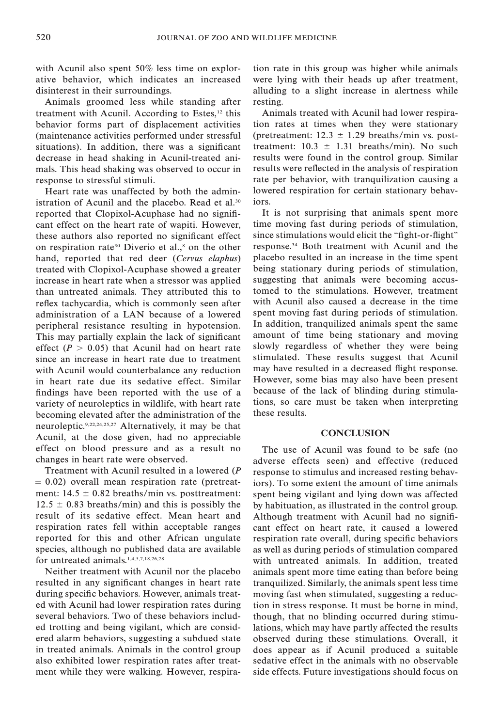with Acunil also spent 50% less time on explorative behavior, which indicates an increased disinterest in their surroundings.

Animals groomed less while standing after treatment with Acunil. According to Estes,<sup>12</sup> this behavior forms part of displacement activities (maintenance activities performed under stressful situations). In addition, there was a significant decrease in head shaking in Acunil-treated animals. This head shaking was observed to occur in response to stressful stimuli.

Heart rate was unaffected by both the administration of Acunil and the placebo. Read et al.<sup>30</sup> reported that Clopixol-Acuphase had no significant effect on the heart rate of wapiti. However, these authors also reported no significant effect on respiration rate<sup>30</sup> Diverio et al.,<sup>8</sup> on the other hand, reported that red deer (Cervus elaphus) treated with Clopixol-Acuphase showed a greater increase in heart rate when a stressor was applied than untreated animals. They attributed this to reflex tachycardia, which is commonly seen after administration of a LAN because of a lowered peripheral resistance resulting in hypotension. This may partially explain the lack of significant effect  $(P > 0.05)$  that Acunil had on heart rate since an increase in heart rate due to treatment with Acunil would counterbalance any reduction in heart rate due its sedative effect. Similar findings have been reported with the use of a variety of neuroleptics in wildlife, with heart rate becoming elevated after the administration of the neuroleptic.9,22,24,25,27 Alternatively, it may be that Acunil, at the dose given, had no appreciable effect on blood pressure and as a result no changes in heart rate were observed.

Treatment with Acunil resulted in a lowered (P  $= 0.02$ ) overall mean respiration rate (pretreatment:  $14.5 \pm 0.82$  breaths/min vs. posttreatment:  $12.5 \pm 0.83$  breaths/min) and this is possibly the result of its sedative effect. Mean heart and respiration rates fell within acceptable ranges reported for this and other African ungulate species, although no published data are available for untreated animals.1,4,5,7,18,26,28

Neither treatment with Acunil nor the placebo resulted in any significant changes in heart rate during specific behaviors. However, animals treated with Acunil had lower respiration rates during several behaviors. Two of these behaviors included trotting and being vigilant, which are considered alarm behaviors, suggesting a subdued state in treated animals. Animals in the control group also exhibited lower respiration rates after treatment while they were walking. However, respiration rate in this group was higher while animals were lying with their heads up after treatment, alluding to a slight increase in alertness while resting.

Animals treated with Acunil had lower respiration rates at times when they were stationary (pretreatment:  $12.3 \pm 1.29$  breaths/min vs. posttreatment:  $10.3 \pm 1.31$  breaths/min). No such results were found in the control group. Similar results were reflected in the analysis of respiration rate per behavior, with tranquilization causing a lowered respiration for certain stationary behaviors.

It is not surprising that animals spent more time moving fast during periods of stimulation, since stimulations would elicit the "fight-or-flight" response.34 Both treatment with Acunil and the placebo resulted in an increase in the time spent being stationary during periods of stimulation, suggesting that animals were becoming accustomed to the stimulations. However, treatment with Acunil also caused a decrease in the time spent moving fast during periods of stimulation. In addition, tranquilized animals spent the same amount of time being stationary and moving slowly regardless of whether they were being stimulated. These results suggest that Acunil may have resulted in a decreased flight response. However, some bias may also have been present because of the lack of blinding during stimulations, so care must be taken when interpreting these results.

## **CONCLUSION**

The use of Acunil was found to be safe (no adverse effects seen) and effective (reduced response to stimulus and increased resting behaviors). To some extent the amount of time animals spent being vigilant and lying down was affected by habituation, as illustrated in the control group. Although treatment with Acunil had no significant effect on heart rate, it caused a lowered respiration rate overall, during specific behaviors as well as during periods of stimulation compared with untreated animals. In addition, treated animals spent more time eating than before being tranquilized. Similarly, the animals spent less time moving fast when stimulated, suggesting a reduction in stress response. It must be borne in mind, though, that no blinding occurred during stimulations, which may have partly affected the results observed during these stimulations. Overall, it does appear as if Acunil produced a suitable sedative effect in the animals with no observable side effects. Future investigations should focus on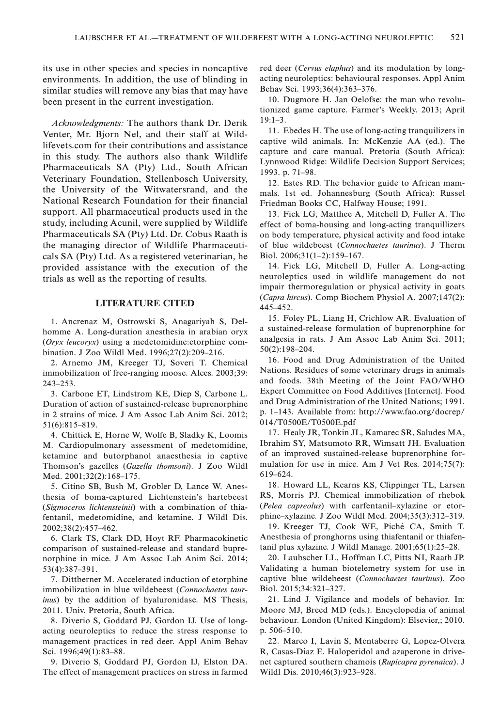its use in other species and species in noncaptive environments. In addition, the use of blinding in similar studies will remove any bias that may have been present in the current investigation.

Acknowledgments: The authors thank Dr. Derik Venter, Mr. Bjorn Nel, and their staff at Wildlifevets.com for their contributions and assistance in this study. The authors also thank Wildlife Pharmaceuticals SA (Pty) Ltd., South African Veterinary Foundation, Stellenbosch University, the University of the Witwatersrand, and the National Research Foundation for their financial support. All pharmaceutical products used in the study, including Acunil, were supplied by Wildlife Pharmaceuticals SA (Pty) Ltd. Dr. Cobus Raath is the managing director of Wildlife Pharmaceuticals SA (Pty) Ltd. As a registered veterinarian, he provided assistance with the execution of the trials as well as the reporting of results.

# LITERATURE CITED

1. Ancrenaz M, Ostrowski S, Anagariyah S, Delhomme A. Long-duration anesthesia in arabian oryx (Oryx leucoryx) using a medetomidine:etorphine combination. J Zoo Wildl Med. 1996;27(2):209–216.

2. Arnemo JM, Kreeger TJ, Soveri T. Chemical immobilization of free-ranging moose. Alces. 2003;39: 243–253.

3. Carbone ET, Lindstrom KE, Diep S, Carbone L. Duration of action of sustained-release buprenorphine in 2 strains of mice. J Am Assoc Lab Anim Sci. 2012; 51(6):815–819.

4. Chittick E, Horne W, Wolfe B, Sladky K, Loomis M. Cardiopulmonary assessment of medetomidine, ketamine and butorphanol anaesthesia in captive Thomson's gazelles (Gazella thomsoni). J Zoo Wildl Med. 2001;32(2):168–175.

5. Citino SB, Bush M, Grobler D, Lance W. Anesthesia of boma-captured Lichtenstein's hartebeest (Sigmoceros lichtensteinii) with a combination of thiafentanil, medetomidine, and ketamine. J Wildl Dis. 2002;38(2):457–462.

6. Clark TS, Clark DD, Hoyt RF. Pharmacokinetic comparison of sustained-release and standard buprenorphine in mice. J Am Assoc Lab Anim Sci. 2014; 53(4):387–391.

7. Dittberner M. Accelerated induction of etorphine immobilization in blue wildebeest (Connochaetes taurinus) by the addition of hyaluronidase. MS Thesis, 2011. Univ. Pretoria, South Africa.

8. Diverio S, Goddard PJ, Gordon IJ. Use of longacting neuroleptics to reduce the stress response to management practices in red deer. Appl Anim Behav Sci. 1996;49(1):83–88.

9. Diverio S, Goddard PJ, Gordon IJ, Elston DA. The effect of management practices on stress in farmed red deer (Cervus elaphus) and its modulation by longacting neuroleptics: behavioural responses. Appl Anim Behav Sci. 1993;36(4):363–376.

10. Dugmore H. Jan Oelofse: the man who revolutionized game capture. Farmer's Weekly. 2013; April 19:1–3.

11. Ebedes H. The use of long-acting tranquilizers in captive wild animals. In: McKenzie AA (ed.). The capture and care manual. Pretoria (South Africa): Lynnwood Ridge: Wildlife Decision Support Services; 1993. p. 71–98.

12. Estes RD. The behavior guide to African mammals. 1st ed. Johannesburg (South Africa): Russel Friedman Books CC, Halfway House; 1991.

13. Fick LG, Matthee A, Mitchell D, Fuller A. The effect of boma-housing and long-acting tranquillizers on body temperature, physical activity and food intake of blue wildebeest (Connochaetes taurinus). J Therm Biol. 2006;31(1–2):159–167.

14. Fick LG, Mitchell D, Fuller A. Long-acting neuroleptics used in wildlife management do not impair thermoregulation or physical activity in goats (Capra hircus). Comp Biochem Physiol A. 2007;147(2): 445–452.

15. Foley PL, Liang H, Crichlow AR. Evaluation of a sustained-release formulation of buprenorphine for analgesia in rats. J Am Assoc Lab Anim Sci. 2011; 50(2):198–204.

16. Food and Drug Administration of the United Nations. Residues of some veterinary drugs in animals and foods. 38th Meeting of the Joint FAO/WHO Expert Committee on Food Additives [Internet]. Food and Drug Administration of the United Nations; 1991. p. 1–143. Available from: http://www.fao.org/docrep/ 014/T0500E/T0500E.pdf

17. Healy JR, Tonkin JL, Kamarec SR, Saludes MA, Ibrahim SY, Matsumoto RR, Wimsatt JH. Evaluation of an improved sustained-release buprenorphine formulation for use in mice. Am J Vet Res. 2014;75(7): 619–624.

18. Howard LL, Kearns KS, Clippinger TL, Larsen RS, Morris PJ. Chemical immobilization of rhebok (Pelea capreolus) with carfentanil–xylazine or etorphine–xylazine. J Zoo Wildl Med. 2004;35(3):312–319.

19. Kreeger TJ, Cook WE, Piché CA, Smith T. Anesthesia of pronghorns using thiafentanil or thiafentanil plus xylazine. J Wildl Manage. 2001;65(1):25–28.

20. Laubscher LL, Hoffman LC, Pitts NI, Raath JP. Validating a human biotelemetry system for use in captive blue wildebeest (Connochaetes taurinus). Zoo Biol. 2015;34:321–327.

21. Lind J. Vigilance and models of behavior. In: Moore MJ, Breed MD (eds.). Encyclopedia of animal behaviour. London (United Kingdom): Elsevier,; 2010. p. 506–510.

22. Marco I, Lavín S, Mentaberre G, Lopez-Olvera R, Casas-Díaz E. Haloperidol and azaperone in drivenet captured southern chamois (Rupicapra pyrenaica). J Wildl Dis. 2010;46(3):923–928.